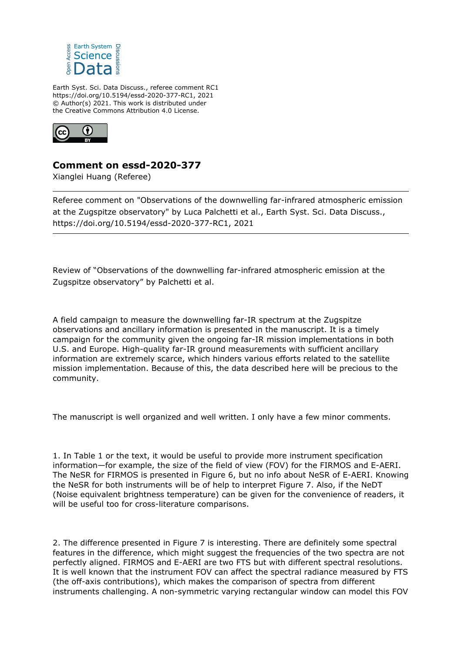

Earth Syst. Sci. Data Discuss., referee comment RC1 https://doi.org/10.5194/essd-2020-377-RC1, 2021 © Author(s) 2021. This work is distributed under the Creative Commons Attribution 4.0 License.



## **Comment on essd-2020-377**

Xianglei Huang (Referee)

Referee comment on "Observations of the downwelling far-infrared atmospheric emission at the Zugspitze observatory" by Luca Palchetti et al., Earth Syst. Sci. Data Discuss., https://doi.org/10.5194/essd-2020-377-RC1, 2021

Review of "Observations of the downwelling far-infrared atmospheric emission at the Zugspitze observatory" by Palchetti et al.

A field campaign to measure the downwelling far-IR spectrum at the Zugspitze observations and ancillary information is presented in the manuscript. It is a timely campaign for the community given the ongoing far-IR mission implementations in both U.S. and Europe. High-quality far-IR ground measurements with sufficient ancillary information are extremely scarce, which hinders various efforts related to the satellite mission implementation. Because of this, the data described here will be precious to the community.

The manuscript is well organized and well written. I only have a few minor comments.

1. In Table 1 or the text, it would be useful to provide more instrument specification information—for example, the size of the field of view (FOV) for the FIRMOS and E-AERI. The NeSR for FIRMOS is presented in Figure 6, but no info about NeSR of E-AERI. Knowing the NeSR for both instruments will be of help to interpret Figure 7. Also, if the NeDT (Noise equivalent brightness temperature) can be given for the convenience of readers, it will be useful too for cross-literature comparisons.

2. The difference presented in Figure 7 is interesting. There are definitely some spectral features in the difference, which might suggest the frequencies of the two spectra are not perfectly aligned. FIRMOS and E-AERI are two FTS but with different spectral resolutions. It is well known that the instrument FOV can affect the spectral radiance measured by FTS (the off-axis contributions), which makes the comparison of spectra from different instruments challenging. A non-symmetric varying rectangular window can model this FOV